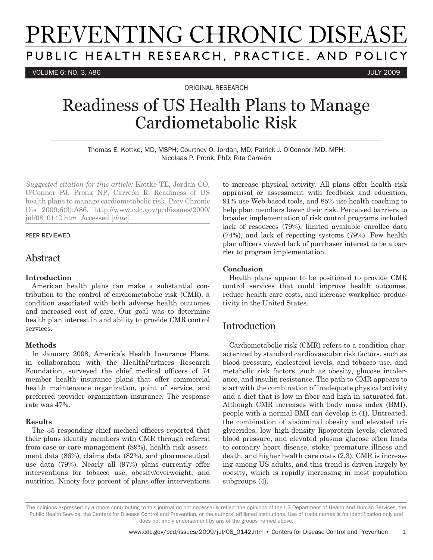# PREVENTING CHRONIC DISEASE PUBLIC HEALTH RESEARCH, PRACTICE, AND POLICY

VOLUME 6: NO. 3, A86 JULY 2009

ORIGINAL RESEARCH

## Readiness of US Health Plans to Manage Cardiometabolic Risk

Thomas E. Kottke, MD, MSPH; Courtney O. Jordan, MD; Patrick J. O'Connor, MD, MPH; Nicolaas P. Pronk, PhD; Rita Carreón

*Suggested citation for this article:* Kottke TE, Jordan CO, O'Connor PJ, Pronk NP, Carreón R. Readiness of US health plans to manage cardiometabolic risk. Prev Chronic Dis 2009;6(3):A86. http://www.cdc.gov/pcd/issues/2009/ jul/08\_0142.htm. Accessed [*date*].

#### PEER REVIEWED

### Abstract

#### **Introduction**

American health plans can make a substantial contribution to the control of cardiometabolic risk (CMR), a condition associated with both adverse health outcomes and increased cost of care. Our goal was to determine health plan interest in and ability to provide CMR control services.

#### **Methods**

In January 2008, America's Health Insurance Plans, in collaboration with the HealthPartners Research Foundation, surveyed the chief medical officers of 74 member health insurance plans that offer commercial health maintenance organization, point of service, and preferred provider organization insurance. The response rate was 47%.

#### **Results**

The 35 responding chief medical officers reported that their plans identify members with CMR through referral from case or care management (89%), health risk assessment data (86%), claims data (82%), and pharmaceutical use data (79%). Nearly all (97%) plans currently offer interventions for tobacco use, obesity/overweight, and nutrition. Ninety-four percent of plans offer interventions to increase physical activity. All plans offer health risk appraisal or assessment with feedback and education, 91% use Web-based tools, and 85% use health coaching to help plan members lower their risk. Perceived barriers to broader implementation of risk control programs included lack of resources (79%), limited available enrollee data (74%), and lack of reporting systems (79%). Few health plan officers viewed lack of purchaser interest to be a barrier to program implementation.

#### **Conclusion**

Health plans appear to be positioned to provide CMR control services that could improve health outcomes, reduce health care costs, and increase workplace productivity in the United States.

## Introduction

Cardiometabolic risk (CMR) refers to a condition characterized by standard cardiovascular risk factors, such as blood pressure, cholesterol levels, and tobacco use, and metabolic risk factors, such as obesity, glucose intolerance, and insulin resistance. The path to CMR appears to start with the combination of inadequate physical activity and a diet that is low in fiber and high in saturated fat. Although CMR increases with body mass index (BMI), people with a normal BMI can develop it (1). Untreated, the combination of abdominal obesity and elevated triglycerides, low high-density lipoprotein levels, elevated blood pressure, and elevated plasma glucose often leads to coronary heart disease, stoke, premature illness and death, and higher health care costs (2,3). CMR is increasing among US adults, and this trend is driven largely by obesity, which is rapidly increasing in most population subgroups (4).

The opinions expressed by authors contributing to this journal do not necessarily reflect the opinions of the US Department of Health and Human Services, the Public Health Service, the Centers for Disease Control and Prevention, or the authors' affiliated institutions. Use of trade names is for identification only and does not imply endorsement by any of the groups named above.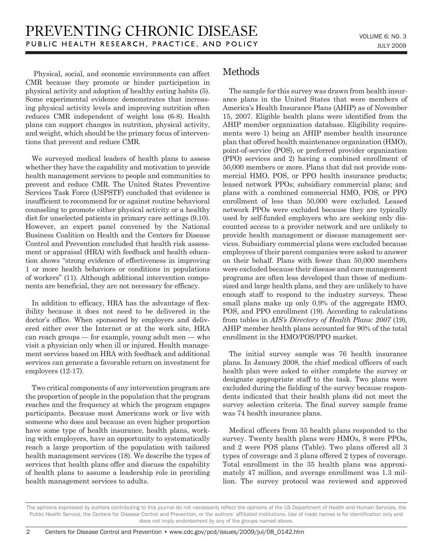Physical, social, and economic environments can affect CMR because they promote or hinder participation in physical activity and adoption of healthy eating habits (5). Some experimental evidence demonstrates that increasing physical activity levels and improving nutrition often reduces CMR independent of weight loss (6-8). Health plans can support changes in nutrition, physical activity, and weight, which should be the primary focus of interventions that prevent and reduce CMR.

We surveyed medical leaders of health plans to assess whether they have the capability and motivation to provide health management services to people and communities to prevent and reduce CMR. The United States Preventive Services Task Force (USPSTF) concluded that evidence is insufficient to recommend for or against routine behavioral counseling to promote either physical activity or a healthy diet for unselected patients in primary care settings (9,10). However, an expert panel convened by the National Business Coalition on Health and the Centers for Disease Control and Prevention concluded that health risk assessment or appraisal (HRA) with feedback and health education shows "strong evidence of effectiveness in improving 1 or more health behaviors or conditions in populations of workers" (11). Although additional intervention components are beneficial, they are not necessary for efficacy.

In addition to efficacy, HRA has the advantage of flexibility because it does not need to be delivered in the doctor's office. When sponsored by employers and delivered either over the Internet or at the work site, HRA can reach groups — for example, young adult men — who visit a physician only when ill or injured. Health management services based on HRA with feedback and additional services can generate a favorable return on investment for employers (12-17).

Two critical components of any intervention program are the proportion of people in the population that the program reaches and the frequency at which the program engages participants. Because most Americans work or live with someone who does and because an even higher proportion have some type of health insurance, health plans, working with employers, have an opportunity to systematically reach a large proportion of the population with tailored health management services (18). We describe the types of services that health plans offer and discuss the capability of health plans to assume a leadership role in providing health management services to adults.

## Methods

The sample for this survey was drawn from health insurance plans in the United States that were members of America's Health Insurance Plans (AHIP) as of November 15, 2007. Eligible health plans were identified from the AHIP member organization database. Eligibility requirements were 1) being an AHIP member health insurance plan that offered health maintenance organization (HMO), point-of-service (POS), or preferred provider organization (PPO) services and 2) having a combined enrollment of 50,000 members or more. Plans that did not provide commercial HMO, POS, or PPO health insurance products; leased network PPOs; subsidiary commercial plans; and plans with a combined commercial HMO, POS, or PPO enrollment of less than 50,000 were excluded. Leased network PPOs were excluded because they are typically used by self-funded employers who are seeking only discounted access to a provider network and are unlikely to provide health management or disease management services. Subsidiary commercial plans were excluded because employees of their parent companies were asked to answer on their behalf. Plans with fewer than 50,000 members were excluded because their disease and care management programs are often less developed than those of mediumsized and large health plans, and they are unlikely to have enough staff to respond to the industry surveys. These small plans make up only 0.9% of the aggregate HMO, POS, and PPO enrollment (19). According to calculations from tables in *AIS's Directory of Health Plans: 2007* (19), AHIP member health plans accounted for 90% of the total enrollment in the HMO/POS/PPO market.

The initial survey sample was 76 health insurance plans. In January 2008, the chief medical officers of each health plan were asked to either complete the survey or designate appropriate staff to the task. Two plans were excluded during the fielding of the survey because respondents indicated that their health plans did not meet the survey selection criteria. The final survey sample frame was 74 health insurance plans.

Medical officers from 35 health plans responded to the survey. Twenty health plans were HMOs, 8 were PPOs, and 2 were POS plans (Table). Two plans offered all 3 types of coverage and 3 plans offered 2 types of coverage. Total enrollment in the 35 health plans was approximately 47 million, and average enrollment was 1.3 million. The survey protocol was reviewed and approved

The opinions expressed by authors contributing to this journal do not necessarily reflect the opinions of the US Department of Health and Human Services, the Public Health Service, the Centers for Disease Control and Prevention, or the authors' affiliated institutions. Use of trade names is for identification only and does not imply endorsement by any of the groups named above.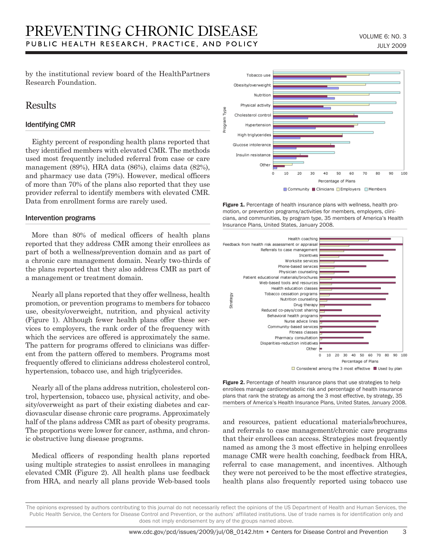by the institutional review board of the HealthPartners Research Foundation.

## Results

#### Identifying CMR

Eighty percent of responding health plans reported that they identified members with elevated CMR. The methods used most frequently included referral from case or care management (89%), HRA data (86%), claims data (82%), and pharmacy use data (79%). However, medical officers of more than 70% of the plans also reported that they use provider referral to identify members with elevated CMR. Data from enrollment forms are rarely used.

#### Intervention programs

More than 80% of medical officers of health plans reported that they address CMR among their enrollees as part of both a wellness/prevention domain and as part of a chronic care management domain. Nearly two-thirds of the plans reported that they also address CMR as part of a management or treatment domain.

Nearly all plans reported that they offer wellness, health promotion, or prevention programs to members for tobacco use, obesity/overweight, nutrition, and physical activity (Figure 1). Although fewer health plans offer these services to employers, the rank order of the frequency with which the services are offered is approximately the same. The pattern for programs offered to clinicians was different from the pattern offered to members. Programs most frequently offered to clinicians address cholesterol control, hypertension, tobacco use, and high triglycerides.

Nearly all of the plans address nutrition, cholesterol control, hypertension, tobacco use, physical activity, and obesity/overweight as part of their existing diabetes and cardiovascular disease chronic care programs. Approximately half of the plans address CMR as part of obesity programs. The proportions were lower for cancer, asthma, and chronic obstructive lung disease programs.

Medical officers of responding health plans reported using multiple strategies to assist enrollees in managing elevated CMR (Figure 2). All health plans use feedback from HRA, and nearly all plans provide Web-based tools



Figure 1. Percentage of health insurance plans with wellness, health promotion, or prevention programs/activities for members, employers, clinicians, and communities, by program type, 35 members of America's Health Insurance Plans, United States, January 2008.



Figure 2. Percentage of health insurance plans that use strategies to help enrollees manage cardiometabolic risk and percentage of health insurance plans that rank the strategy as among the 3 most effective, by strategy, 35 members of America's Health Insurance Plans, United States, January 2008.

and resources, patient educational materials/brochures, and referrals to case management/chronic care programs that their enrollees can access. Strategies most frequently named as among the 3 most effective in helping enrollees manage CMR were health coaching, feedback from HRA, referral to case management, and incentives. Although they were not perceived to be the most effective strategies, health plans also frequently reported using tobacco use

The opinions expressed by authors contributing to this journal do not necessarily reflect the opinions of the US Department of Health and Human Services, the Public Health Service, the Centers for Disease Control and Prevention, or the authors' affiliated institutions. Use of trade names is for identification only and does not imply endorsement by any of the groups named above.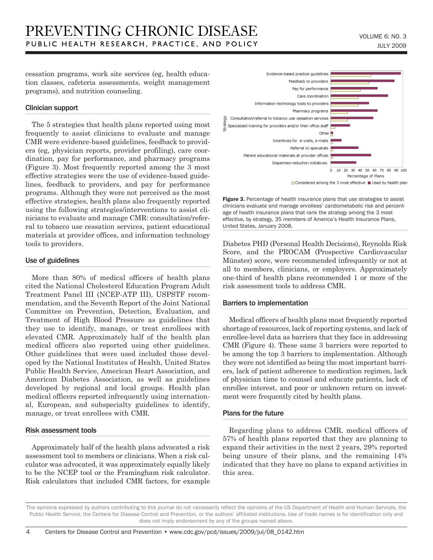cessation programs, work site services (eg, health education classes, cafeteria assessments, weight management programs), and nutrition counseling.

#### Clinician support

The 5 strategies that health plans reported using most frequently to assist clinicians to evaluate and manage CMR were evidence-based guidelines, feedback to providers (eg, physician reports, provider profiling), care coordination, pay for performance, and pharmacy programs (Figure 3). Most frequently reported among the 3 most effective strategies were the use of evidence-based guidelines, feedback to providers, and pay for performance programs. Although they were not perceived as the most effective strategies, health plans also frequently reported using the following strategies/interventions to assist clinicians to evaluate and manage CMR: consultation/referral to tobacco use cessation services, patient educational materials at provider offices, and information technology tools to providers.

#### Use of guidelines

More than 80% of medical officers of health plans cited the National Cholesterol Education Program Adult Treatment Panel III (NCEP-ATP III), USPSTF recommendation, and the Seventh Report of the Joint National Committee on Prevention, Detection, Evaluation, and Treatment of High Blood Pressure as guidelines that they use to identify, manage, or treat enrollees with elevated CMR. Approximately half of the health plan medical officers also reported using other guidelines. Other guidelines that were used included those developed by the National Institutes of Health, United States Public Health Service, American Heart Association, and American Diabetes Association, as well as guidelines developed by regional and local groups. Health plan medical officers reported infrequently using international, European, and subspecialty guidelines to identify, manage, or treat enrollees with CMR.

#### Risk assessment tools

Approximately half of the health plans advocated a risk assessment tool to members or clinicians. When a risk calculator was advocated, it was approximately equally likely to be the NCEP tool or the Framingham risk calculator. Risk calculators that included CMR factors, for example



Figure 3. Percentage of health insurance plans that use strategies to assist clinicians evaluate and manage enrollees' cardiometabolic risk and percentage of health insurance plans that rank the strategy among the 3 most effective, by strategy, 35 members of America's Health Insurance Plans, United States, January 2008.

Diabetes PHD (Personal Health Decisions), Reynolds Risk Score, and the PROCAM (Prospective Cardiovascular Münster) score, were recommended infrequently or not at all to members, clinicians, or employers. Approximately one-third of health plans recommended 1 or more of the risk assessment tools to address CMR.

#### Barriers to implementation

Medical officers of health plans most frequently reported shortage of resources, lack of reporting systems, and lack of enrollee-level data as barriers that they face in addressing CMR (Figure 4). These same 3 barriers were reported to be among the top 3 barriers to implementation. Although they were not identified as being the most important barriers, lack of patient adherence to medication regimen, lack of physician time to counsel and educate patients, lack of enrollee interest, and poor or unknown return on investment were frequently cited by health plans.

#### Plans for the future

Regarding plans to address CMR, medical officers of 57% of health plans reported that they are planning to expand their activities in the next 2 years, 29% reported being unsure of their plans, and the remaining 14% indicated that they have no plans to expand activities in this area.

The opinions expressed by authors contributing to this journal do not necessarily reflect the opinions of the US Department of Health and Human Services, the Public Health Service, the Centers for Disease Control and Prevention, or the authors' affiliated institutions. Use of trade names is for identification only and does not imply endorsement by any of the groups named above.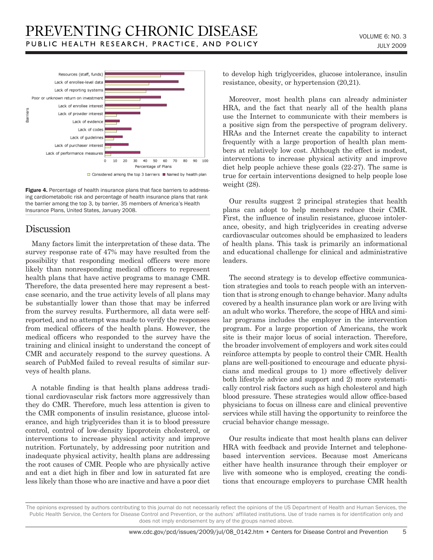

Figure 4. Percentage of health insurance plans that face barriers to addressing cardiometabolic risk and percentage of health insurance plans that rank the barrier among the top 3, by barrier, 35 members of America's Health Insurance Plans, United States, January 2008.

## Discussion

Many factors limit the interpretation of these data. The survey response rate of 47% may have resulted from the possibility that responding medical officers were more likely than nonresponding medical officers to represent health plans that have active programs to manage CMR. Therefore, the data presented here may represent a bestcase scenario, and the true activity levels of all plans may be substantially lower than those that may be inferred from the survey results. Furthermore, all data were selfreported, and no attempt was made to verify the responses from medical officers of the health plans. However, the medical officers who responded to the survey have the training and clinical insight to understand the concept of CMR and accurately respond to the survey questions. A search of PubMed failed to reveal results of similar surveys of health plans.

A notable finding is that health plans address traditional cardiovascular risk factors more aggressively than they do CMR. Therefore, much less attention is given to the CMR components of insulin resistance, glucose intolerance, and high triglycerides than it is to blood pressure control, control of low-density lipoprotein cholesterol, or interventions to increase physical activity and improve nutrition. Fortunately, by addressing poor nutrition and inadequate physical activity, health plans are addressing the root causes of CMR. People who are physically active and eat a diet high in fiber and low in saturated fat are less likely than those who are inactive and have a poor diet to develop high triglycerides, glucose intolerance, insulin resistance, obesity, or hypertension (20,21).

Moreover, most health plans can already administer HRA, and the fact that nearly all of the health plans use the Internet to communicate with their members is a positive sign from the perspective of program delivery. HRAs and the Internet create the capability to interact frequently with a large proportion of health plan members at relatively low cost. Although the effect is modest, interventions to increase physical activity and improve diet help people achieve these goals (22-27). The same is true for certain interventions designed to help people lose weight (28).

Our results suggest 2 principal strategies that health plans can adopt to help members reduce their CMR. First, the influence of insulin resistance, glucose intolerance, obesity, and high triglycerides in creating adverse cardiovascular outcomes should be emphasized to leaders of health plans. This task is primarily an informational and educational challenge for clinical and administrative leaders.

The second strategy is to develop effective communication strategies and tools to reach people with an intervention that is strong enough to change behavior. Many adults covered by a health insurance plan work or are living with an adult who works. Therefore, the scope of HRA and similar programs includes the employer in the intervention program. For a large proportion of Americans, the work site is their major locus of social interaction. Therefore, the broader involvement of employers and work sites could reinforce attempts by people to control their CMR. Health plans are well-positioned to encourage and educate physicians and medical groups to 1) more effectively deliver both lifestyle advice and support and 2) more systematically control risk factors such as high cholesterol and high blood pressure. These strategies would allow office-based physicians to focus on illness care and clinical preventive services while still having the opportunity to reinforce the crucial behavior change message.

Our results indicate that most health plans can deliver HRA with feedback and provide Internet and telephonebased intervention services. Because most Americans either have health insurance through their employer or live with someone who is employed, creating the conditions that encourage employers to purchase CMR health

The opinions expressed by authors contributing to this journal do not necessarily reflect the opinions of the US Department of Health and Human Services, the Public Health Service, the Centers for Disease Control and Prevention, or the authors' affiliated institutions. Use of trade names is for identification only and does not imply endorsement by any of the groups named above.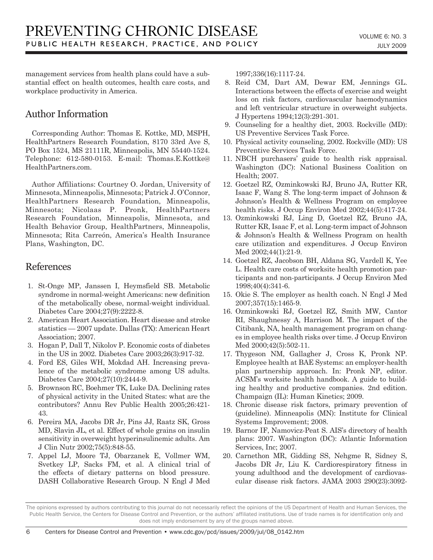management services from health plans could have a substantial effect on health outcomes, health care costs, and workplace productivity in America.

## Author Information

Corresponding Author: Thomas E. Kottke, MD, MSPH, HealthPartners Research Foundation, 8170 33rd Ave S, PO Box 1524, MS 21111R, Minneapolis, MN 55440-1524. Telephone: 612-580-0153. E-mail: Thomas.E.Kottke@ HealthPartners.com.

Author Affiliations: Courtney O. Jordan, University of Minnesota, Minneapolis, Minnesota; Patrick J. O'Connor, HealthPartners Research Foundation, Minneapolis, Minnesota; Nicolaas P. Pronk, HealthPartners Research Foundation, Minneapolis, Minnesota, and Health Behavior Group, HealthPartners, Minneapolis, Minnesota; Rita Carreón, America's Health Insurance Plans, Washington, DC.

## References

- 1. St-Onge MP, Janssen I, Heymsfield SB. Metabolic syndrome in normal-weight Americans: new definition of the metabolically obese, normal-weight individual. Diabetes Care 2004;27(9):2222-8.
- 2. American Heart Association. Heart disease and stroke statistics — 2007 update. Dallas (TX): American Heart Association; 2007.
- 3. Hogan P, Dall T, Nikolov P. Economic costs of diabetes in the US in 2002. Diabetes Care 2003;26(3):917-32.
- 4. Ford ES, Giles WH, Mokdad AH. Increasing prevalence of the metabolic syndrome among US adults. Diabetes Care 2004;27(10):2444-9.
- 5. Brownson RC, Boehmer TK, Luke DA. Declining rates of physical activity in the United States: what are the contributors? Annu Rev Public Health 2005;26:421- 43.
- 6. Pereira MA, Jacobs DR Jr, Pins JJ, Raatz SK, Gross MD, Slavin JL, et al. Effect of whole grains on insulin sensitivity in overweight hyperinsulinemic adults. Am J Clin Nutr 2002;75(5):848-55.
- 7. Appel LJ, Moore TJ, Obarzanek E, Vollmer WM, Svetkey LP, Sacks FM, et al. A clinical trial of the effects of dietary patterns on blood pressure. DASH Collaborative Research Group. N Engl J Med

1997;336(16):1117-24.

- 8. Reid CM, Dart AM, Dewar EM, Jennings GL. Interactions between the effects of exercise and weight loss on risk factors, cardiovascular haemodynamics and left ventricular structure in overweight subjects. J Hypertens 1994;12(3):291-301.
- 9. Counseling for a healthy diet, 2003. Rockville (MD): US Preventive Services Task Force.
- 10. Physical activity counseling, 2002. Rockville (MD): US Preventive Services Task Force.
- 11. NBCH purchasers' guide to health risk appraisal. Washington (DC): National Business Coalition on Health; 2007.
- 12. Goetzel RZ, Ozminkowski RJ, Bruno JA, Rutter KR, Isaac F, Wang S. The long-term impact of Johnson & Johnson's Health & Wellness Program on employee health risks. J Occup Environ Med 2002;44(5):417-24.
- 13. Ozminkowski RJ, Ling D, Goetzel RZ, Bruno JA, Rutter KR, Isaac F, et al. Long-term impact of Johnson & Johnson's Health & Wellness Program on health care utilization and expenditures. J Occup Environ Med 2002;44(1):21-9.
- 14. Goetzel RZ, Jacobson BH, Aldana SG, Vardell K, Yee L. Health care costs of worksite health promotion participants and non-participants. J Occup Environ Med 1998;40(4):341-6.
- 15. Okie S. The employer as health coach. N Engl J Med 2007;357(15):1465-9.
- 16. Ozminkowski RJ, Goetzel RZ, Smith MW, Cantor RI, Shaughnessy A, Harrison M. The impact of the Citibank, NA, health management program on changes in employee health risks over time. J Occup Environ Med 2000;42(5):502-11.
- 17. Thygeson NM, Gallagher J, Cross K, Pronk NP. Employee health at BAE Systems: an employer-health plan partnership approach. In: Pronk NP, editor. ACSM's worksite health handbook. A guide to building healthy and productive companies. 2nd edition. Champaign (IL): Human Kinetics; 2009.
- 18. Chronic disease risk factors, primary prevention of (guideline). Minneapolis (MN): Institute for Clinical Systems Improvement; 2008.
- 19. Barnor IF, Namovicz-Peat S. AIS's directory of health plans: 2007. Washington (DC): Atlantic Information Services, Inc; 2007.
- 20. Carnethon MR, Gidding SS, Nehgme R, Sidney S, Jacobs DR Jr, Liu K. Cardiorespiratory fitness in young adulthood and the development of cardiovascular disease risk factors. JAMA 2003 290(23):3092-

The opinions expressed by authors contributing to this journal do not necessarily reflect the opinions of the US Department of Health and Human Services, the Public Health Service, the Centers for Disease Control and Prevention, or the authors' affiliated institutions. Use of trade names is for identification only and does not imply endorsement by any of the groups named above.